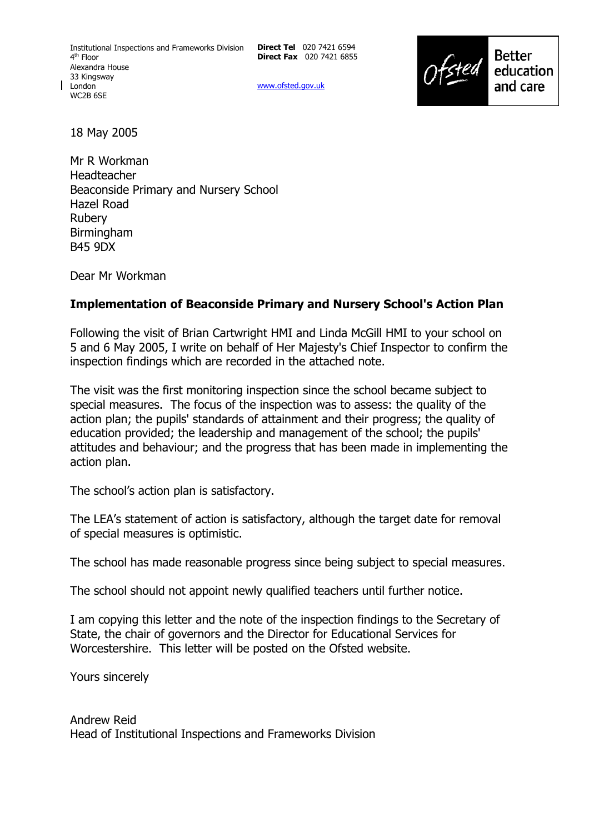**Direct Tel** 020 7421 6594 **Direct Fax** 020 7421 6855

www.ofsted.gov.uk



18 May 2005

Mr R Workman Headteacher Beaconside Primary and Nursery School Hazel Road Rubery Birmingham B45 9DX

Dear Mr Workman

#### **Implementation of Beaconside Primary and Nursery School's Action Plan**

Following the visit of Brian Cartwright HMI and Linda McGill HMI to your school on 5 and 6 May 2005, I write on behalf of Her Majesty's Chief Inspector to confirm the inspection findings which are recorded in the attached note.

The visit was the first monitoring inspection since the school became subject to special measures. The focus of the inspection was to assess: the quality of the action plan; the pupils' standards of attainment and their progress; the quality of education provided; the leadership and management of the school; the pupils' attitudes and behaviour; and the progress that has been made in implementing the action plan.

The school's action plan is satisfactory.

The LEAís statement of action is satisfactory, although the target date for removal of special measures is optimistic.

The school has made reasonable progress since being subject to special measures.

The school should not appoint newly qualified teachers until further notice.

I am copying this letter and the note of the inspection findings to the Secretary of State, the chair of governors and the Director for Educational Services for Worcestershire. This letter will be posted on the Ofsted website.

Yours sincerely

Andrew Reid Head of Institutional Inspections and Frameworks Division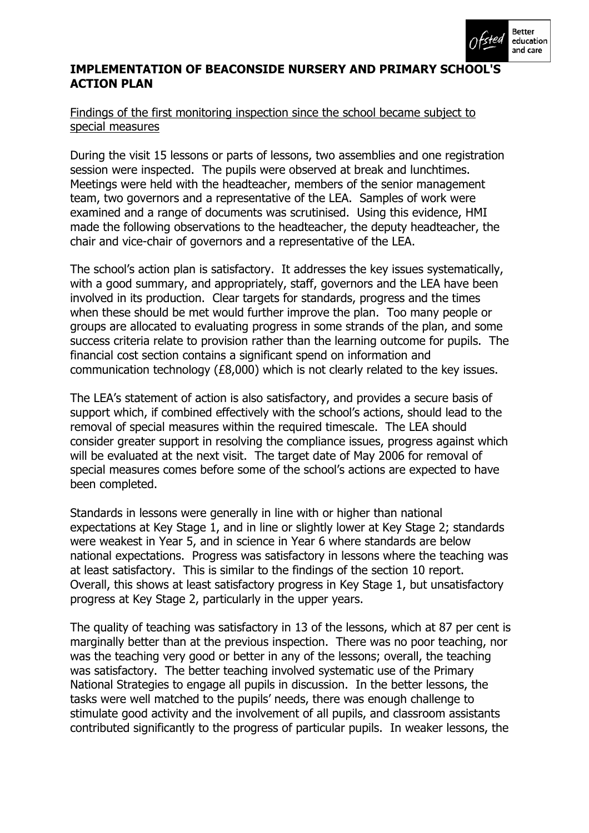

## **IMPLEMENTATION OF BEACONSIDE NURSERY AND PRIMARY SCHOOL'S ACTION PLAN**

## Findings of the first monitoring inspection since the school became subject to special measures

During the visit 15 lessons or parts of lessons, two assemblies and one registration session were inspected. The pupils were observed at break and lunchtimes. Meetings were held with the headteacher, members of the senior management team, two governors and a representative of the LEA. Samples of work were examined and a range of documents was scrutinised. Using this evidence, HMI made the following observations to the headteacher, the deputy headteacher, the chair and vice-chair of governors and a representative of the LEA.

The school's action plan is satisfactory. It addresses the key issues systematically, with a good summary, and appropriately, staff, governors and the LEA have been involved in its production. Clear targets for standards, progress and the times when these should be met would further improve the plan. Too many people or groups are allocated to evaluating progress in some strands of the plan, and some success criteria relate to provision rather than the learning outcome for pupils. The financial cost section contains a significant spend on information and communication technology (£8,000) which is not clearly related to the key issues.

The LEAís statement of action is also satisfactory, and provides a secure basis of support which, if combined effectively with the school's actions, should lead to the removal of special measures within the required timescale. The LEA should consider greater support in resolving the compliance issues, progress against which will be evaluated at the next visit. The target date of May 2006 for removal of special measures comes before some of the schoolís actions are expected to have been completed.

Standards in lessons were generally in line with or higher than national expectations at Key Stage 1, and in line or slightly lower at Key Stage 2; standards were weakest in Year 5, and in science in Year 6 where standards are below national expectations. Progress was satisfactory in lessons where the teaching was at least satisfactory. This is similar to the findings of the section 10 report. Overall, this shows at least satisfactory progress in Key Stage 1, but unsatisfactory progress at Key Stage 2, particularly in the upper years.

The quality of teaching was satisfactory in 13 of the lessons, which at 87 per cent is marginally better than at the previous inspection. There was no poor teaching, nor was the teaching very good or better in any of the lessons; overall, the teaching was satisfactory. The better teaching involved systematic use of the Primary National Strategies to engage all pupils in discussion. In the better lessons, the tasks were well matched to the pupils' needs, there was enough challenge to stimulate good activity and the involvement of all pupils, and classroom assistants contributed significantly to the progress of particular pupils. In weaker lessons, the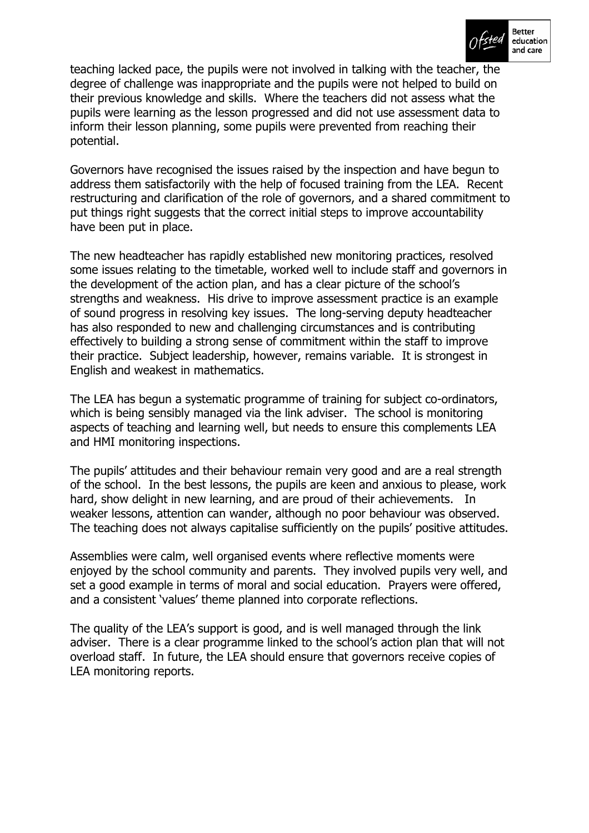

teaching lacked pace, the pupils were not involved in talking with the teacher, the degree of challenge was inappropriate and the pupils were not helped to build on their previous knowledge and skills. Where the teachers did not assess what the pupils were learning as the lesson progressed and did not use assessment data to inform their lesson planning, some pupils were prevented from reaching their potential.

Governors have recognised the issues raised by the inspection and have begun to address them satisfactorily with the help of focused training from the LEA. Recent restructuring and clarification of the role of governors, and a shared commitment to put things right suggests that the correct initial steps to improve accountability have been put in place.

The new headteacher has rapidly established new monitoring practices, resolved some issues relating to the timetable, worked well to include staff and governors in the development of the action plan, and has a clear picture of the school's strengths and weakness. His drive to improve assessment practice is an example of sound progress in resolving key issues. The long-serving deputy headteacher has also responded to new and challenging circumstances and is contributing effectively to building a strong sense of commitment within the staff to improve their practice. Subject leadership, however, remains variable. It is strongest in English and weakest in mathematics.

The LEA has begun a systematic programme of training for subject co-ordinators, which is being sensibly managed via the link adviser. The school is monitoring aspects of teaching and learning well, but needs to ensure this complements LEA and HMI monitoring inspections.

The pupils' attitudes and their behaviour remain very good and are a real strength of the school. In the best lessons, the pupils are keen and anxious to please, work hard, show delight in new learning, and are proud of their achievements. In weaker lessons, attention can wander, although no poor behaviour was observed. The teaching does not always capitalise sufficiently on the pupils' positive attitudes.

Assemblies were calm, well organised events where reflective moments were enjoyed by the school community and parents. They involved pupils very well, and set a good example in terms of moral and social education. Prayers were offered, and a consistent 'values' theme planned into corporate reflections.

The quality of the LEA's support is good, and is well managed through the link adviser. There is a clear programme linked to the school's action plan that will not overload staff. In future, the LEA should ensure that governors receive copies of LEA monitoring reports.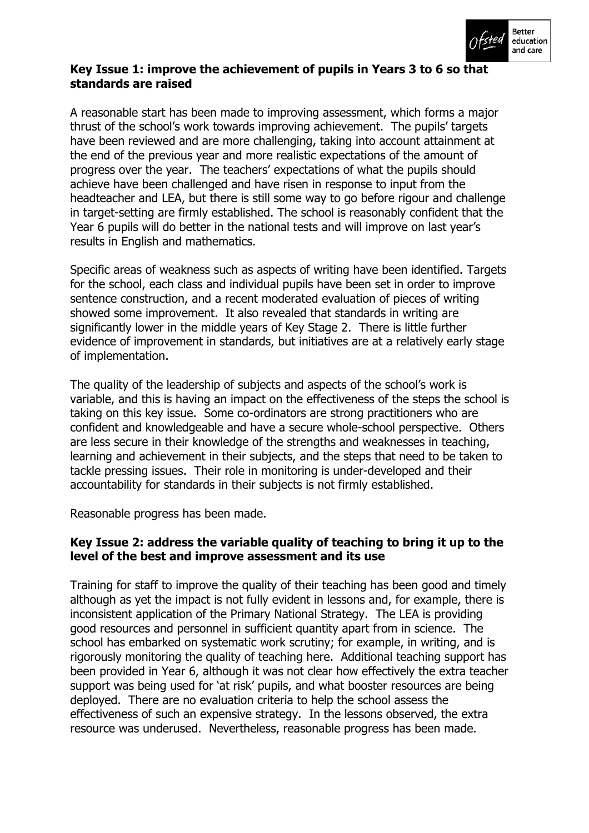

## **Key Issue 1: improve the achievement of pupils in Years 3 to 6 so that standards are raised**

A reasonable start has been made to improving assessment, which forms a major thrust of the school's work towards improving achievement. The pupils' targets have been reviewed and are more challenging, taking into account attainment at the end of the previous year and more realistic expectations of the amount of progress over the year. The teachersí expectations of what the pupils should achieve have been challenged and have risen in response to input from the headteacher and LEA, but there is still some way to go before rigour and challenge in target-setting are firmly established. The school is reasonably confident that the Year 6 pupils will do better in the national tests and will improve on last year's results in English and mathematics.

Specific areas of weakness such as aspects of writing have been identified. Targets for the school, each class and individual pupils have been set in order to improve sentence construction, and a recent moderated evaluation of pieces of writing showed some improvement. It also revealed that standards in writing are significantly lower in the middle years of Key Stage 2. There is little further evidence of improvement in standards, but initiatives are at a relatively early stage of implementation.

The quality of the leadership of subjects and aspects of the school's work is variable, and this is having an impact on the effectiveness of the steps the school is taking on this key issue. Some co-ordinators are strong practitioners who are confident and knowledgeable and have a secure whole-school perspective. Others are less secure in their knowledge of the strengths and weaknesses in teaching, learning and achievement in their subjects, and the steps that need to be taken to tackle pressing issues. Their role in monitoring is under-developed and their accountability for standards in their subjects is not firmly established.

Reasonable progress has been made.

# **Key Issue 2: address the variable quality of teaching to bring it up to the level of the best and improve assessment and its use**

Training for staff to improve the quality of their teaching has been good and timely although as yet the impact is not fully evident in lessons and, for example, there is inconsistent application of the Primary National Strategy. The LEA is providing good resources and personnel in sufficient quantity apart from in science. The school has embarked on systematic work scrutiny; for example, in writing, and is rigorously monitoring the quality of teaching here. Additional teaching support has been provided in Year 6, although it was not clear how effectively the extra teacher support was being used for 'at risk' pupils, and what booster resources are being deployed. There are no evaluation criteria to help the school assess the effectiveness of such an expensive strategy. In the lessons observed, the extra resource was underused. Nevertheless, reasonable progress has been made.